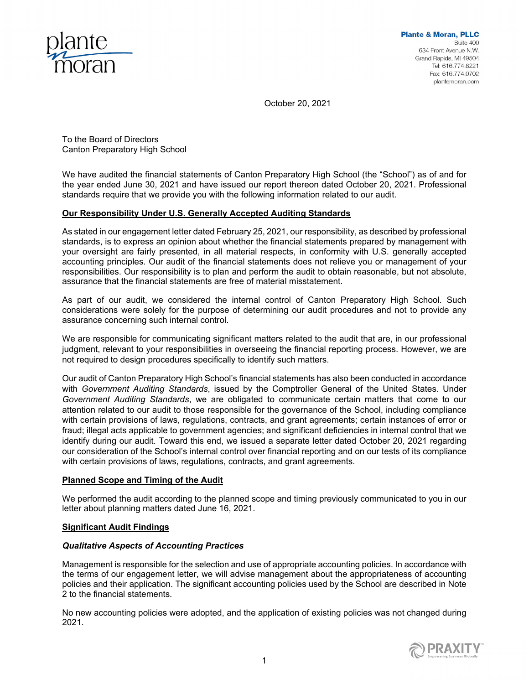

October 20, 2021

To the Board of Directors Canton Preparatory High School

We have audited the financial statements of Canton Preparatory High School (the "School") as of and for the year ended June 30, 2021 and have issued our report thereon dated October 20, 2021. Professional standards require that we provide you with the following information related to our audit.

# **Our Responsibility Under U.S. Generally Accepted Auditing Standards**

As stated in our engagement letter dated February 25, 2021, our responsibility, as described by professional standards, is to express an opinion about whether the financial statements prepared by management with your oversight are fairly presented, in all material respects, in conformity with U.S. generally accepted accounting principles. Our audit of the financial statements does not relieve you or management of your responsibilities. Our responsibility is to plan and perform the audit to obtain reasonable, but not absolute, assurance that the financial statements are free of material misstatement.

As part of our audit, we considered the internal control of Canton Preparatory High School. Such considerations were solely for the purpose of determining our audit procedures and not to provide any assurance concerning such internal control.

We are responsible for communicating significant matters related to the audit that are, in our professional judgment, relevant to your responsibilities in overseeing the financial reporting process. However, we are not required to design procedures specifically to identify such matters.

Our audit of Canton Preparatory High School's financial statements has also been conducted in accordance with *Government Auditing Standards*, issued by the Comptroller General of the United States. Under *Government Auditing Standards*, we are obligated to communicate certain matters that come to our attention related to our audit to those responsible for the governance of the School, including compliance with certain provisions of laws, regulations, contracts, and grant agreements; certain instances of error or fraud; illegal acts applicable to government agencies; and significant deficiencies in internal control that we identify during our audit. Toward this end, we issued a separate letter dated October 20, 2021 regarding our consideration of the School's internal control over financial reporting and on our tests of its compliance with certain provisions of laws, regulations, contracts, and grant agreements.

## **Planned Scope and Timing of the Audit**

We performed the audit according to the planned scope and timing previously communicated to you in our letter about planning matters dated June 16, 2021.

## **Significant Audit Findings**

## *Qualitative Aspects of Accounting Practices*

Management is responsible for the selection and use of appropriate accounting policies. In accordance with the terms of our engagement letter, we will advise management about the appropriateness of accounting policies and their application. The significant accounting policies used by the School are described in Note 2 to the financial statements.

No new accounting policies were adopted, and the application of existing policies was not changed during 2021.

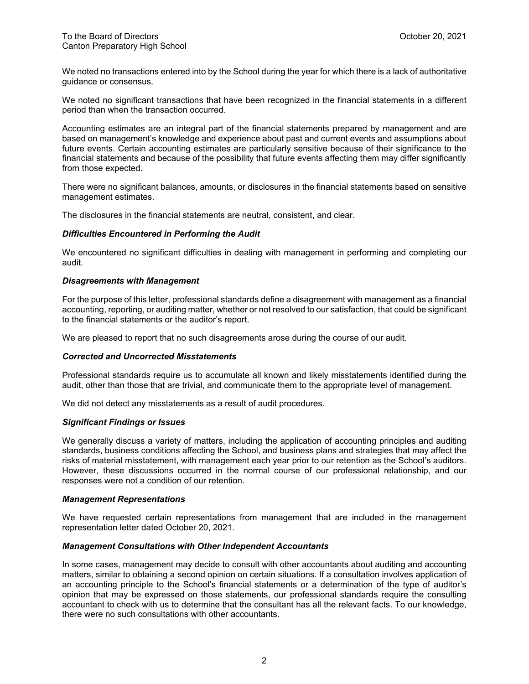We noted no transactions entered into by the School during the year for which there is a lack of authoritative guidance or consensus.

We noted no significant transactions that have been recognized in the financial statements in a different period than when the transaction occurred.

Accounting estimates are an integral part of the financial statements prepared by management and are based on management's knowledge and experience about past and current events and assumptions about future events. Certain accounting estimates are particularly sensitive because of their significance to the financial statements and because of the possibility that future events affecting them may differ significantly from those expected.

There were no significant balances, amounts, or disclosures in the financial statements based on sensitive management estimates.

The disclosures in the financial statements are neutral, consistent, and clear.

### *Difficulties Encountered in Performing the Audit*

We encountered no significant difficulties in dealing with management in performing and completing our audit.

### *Disagreements with Management*

For the purpose of this letter, professional standards define a disagreement with management as a financial accounting, reporting, or auditing matter, whether or not resolved to our satisfaction, that could be significant to the financial statements or the auditor's report.

We are pleased to report that no such disagreements arose during the course of our audit.

### *Corrected and Uncorrected Misstatements*

Professional standards require us to accumulate all known and likely misstatements identified during the audit, other than those that are trivial, and communicate them to the appropriate level of management.

We did not detect any misstatements as a result of audit procedures.

#### *Significant Findings or Issues*

We generally discuss a variety of matters, including the application of accounting principles and auditing standards, business conditions affecting the School, and business plans and strategies that may affect the risks of material misstatement, with management each year prior to our retention as the School's auditors. However, these discussions occurred in the normal course of our professional relationship, and our responses were not a condition of our retention.

#### *Management Representations*

We have requested certain representations from management that are included in the management representation letter dated October 20, 2021.

#### *Management Consultations with Other Independent Accountants*

In some cases, management may decide to consult with other accountants about auditing and accounting matters, similar to obtaining a second opinion on certain situations. If a consultation involves application of an accounting principle to the School's financial statements or a determination of the type of auditor's opinion that may be expressed on those statements, our professional standards require the consulting accountant to check with us to determine that the consultant has all the relevant facts. To our knowledge, there were no such consultations with other accountants.